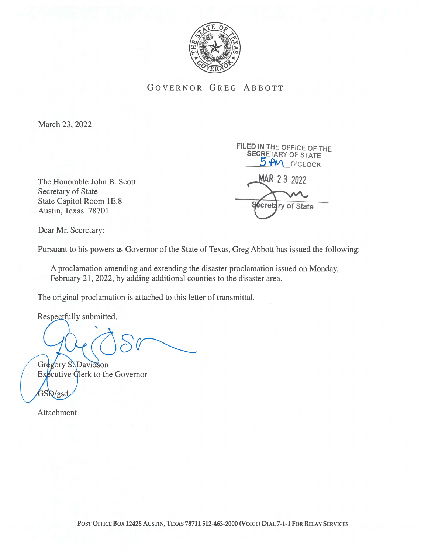

GOVERNOR GREG ABBOTT

March 23, 2022

Secretary of State State Capitol Room 1E.8 **Secretary** of State Austin, Texas 78701

FiLED IN THE OFFICE OF THE SECRETARY OF STATE 5 PM O'CLOCK The Honorable John B. Scott MAR 23 2022

Dear Mr. Secretary:

Pursuant to his powers as Governor of the State of Texas, Greg Abbott has issued the following:

A proclamation amending and extending the disaster proclamation issued on Monday, February 21, 2022, by adding additional counties to the disaster area.

The original proclamation is attached to this letter of transmittal.

Respectfully submitted,

Gregory S. Davidson

 $Ex$ *Ex* $\ell$ cutive  $Q$ lerk to the Governor  $GSQ/gsd$ 

Attachment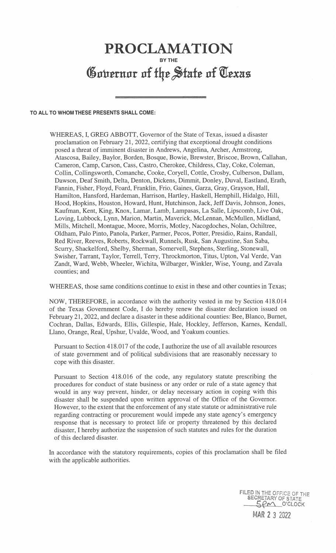## PROCLAMATION BY THE Governor of the State of Texas

## TO ALL TO WHOM THESE PRESENTS SHALL COME:

WHEREAS, I, GREG ABBOTT, Governor of the State of Texas, issued a disaster proclamation on February 21, 2022, certifying that exceptional drought conditions posed a threat of imminent disaster in Andrews, Angelina, Archer, Armstrong, Atascosa, Bailey, Baylor, Borden, Bosque, Bowie, Brewster, Briscoe, Brown, Callahan, Cameron, Camp, Carson, Cass, Castro, Cherokee, Childress, Clay, Coke, Coleman, Collin, Collingsworth, Comanche, Cooke, Coryell, Cottle, Crosby, Culberson, Dallam, Dawson, Deaf Smith, Delta, Denton, Dickens, Dimmit, Donley, Duval, Eastland, Erath, Fannin, Fisher, Floyd, Foard, Franklin, Frio, Gaines, Garza, Gray, Grayson, Hall, Hamilton, Hansford, Hardeman, Harrison, Hartley, Haskell, Hemphill, Hidalgo, Hill, Hood, Hopkins, Houston, Howard, Hunt, Hutchinson, Jack, Jeff Davis, Johnson, Jones, Kaufman, Kent, King, Knox, Lamar, Lamb, Lampasas, La Salle, Lipscomb, Live Oak, Loving, Lubbock, Lynn, Marion, Martin, Maverick, McLennan, McMullen, Midland, Mills, Mitchell, Montague, Moore, Morris, Motley, Nacogdoches, Nolan, Ochiltree, Oldham, Palo Pinto, Panola, Parker, Parmer, Pecos, Potter, Presidio, Rains, Randall, Red River, Reeves, Roberts, Rockwall, Runnels, Rusk, San Augustine, San Saba, Scurry, Shackelford, Shelby, Sherman, Somervell, Stephens, Sterling, Stonewall, Swisher, Tarrant, Taylor, Terrell, Terry, Throckmorton, Titus, Upton, Val Verde, Van Zandt, Ward, Webb, Wheeler, Wichita, Wilbarger, Winkler, Wise, Young, and Zavala counties; and

WHEREAS, those same conditions continue to exist in these and other counties in Texas;

NOW, THEREFORE, in accordance with the authority vested in me by Section 418.014 of the Texas Government Code, I do hereby renew the disaster declaration issued on February 21, 2022, and declare a disaster in these additional counties: Bee, Blanco, Burnet, Cochran, Dallas, Edwards, Ellis, Gillespie, Hale, Hockley, Jefferson, Karnes, Kendall, Liano, Orange, Real, Upshur, Uvalde, Wood, and Yoakum counties.

Pursuant to Section 418.017 of the code, I authorize the use of all available resources of state government and of political subdivisions that are reasonably necessary to cope with this disaster.

Pursuant to Section 418.016 of the code, any regulatory statute prescribing the procedures for conduct of state business or any order or rule of a state agency that would in any way prevent, hinder, or delay necessary action in coping with this disaster shall be suspended upon written approval of the Office of the Governor. However, to the extent that the enforcement of any state statute or administrative rule regarding contracting or procurement would impede any state agency's emergency response that is necessary to protect life or property threatened by this declared disaster, I hereby authorize the suspension of such statutes and rules for the duration of this declared disaster.

In accordance with the statutory requirements, copies of this proclamation shall be filed with the applicable authorities.

> FILED IN THE OFFICE OF THE SECRETARY OF STATE SECRETARY OF STATE NAR 2 3 2022